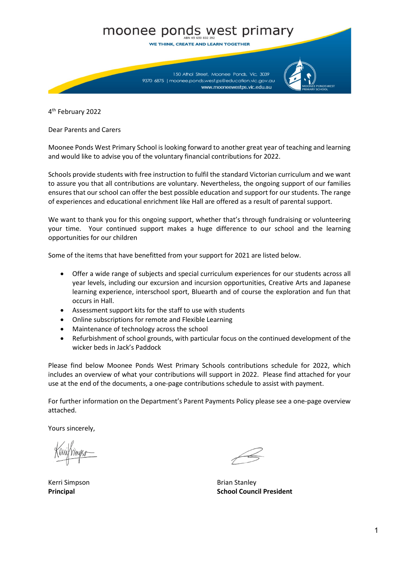# moonee ponds west primary

WE THINK, CREATE AND LEARN TOGETHER



4th February 2022

Dear Parents and Carers

Moonee Ponds West Primary School is looking forward to another great year of teaching and learning and would like to advise you of the voluntary financial contributions for 2022.

Schools provide students with free instruction to fulfil the standard Victorian curriculum and we want to assure you that all contributions are voluntary. Nevertheless, the ongoing support of our families ensures that our school can offer the best possible education and support for our students. The range of experiences and educational enrichment like Hall are offered as a result of parental support.

We want to thank you for this ongoing support, whether that's through fundraising or volunteering your time. Your continued support makes a huge difference to our school and the learning opportunities for our children

Some of the items that have benefitted from your support for 2021 are listed below.

- Offer a wide range of subjects and special curriculum experiences for our students across all year levels, including our excursion and incursion opportunities, Creative Arts and Japanese learning experience, interschool sport, Bluearth and of course the exploration and fun that occurs in Hall.
- Assessment support kits for the staff to use with students
- Online subscriptions for remote and Flexible Learning
- Maintenance of technology across the school
- Refurbishment of school grounds, with particular focus on the continued development of the wicker beds in Jack's Paddock

Please find below Moonee Ponds West Primary Schools contributions schedule for 2022, which includes an overview of what your contributions will support in 2022. Please find attached for your use at the end of the documents, a one-page contributions schedule to assist with payment.

For further information on the Department's Parent Payments Policy please see a one-page overview attached.

Yours sincerely,

Kerri Simpson Brian Stanley

**Principal School Council President**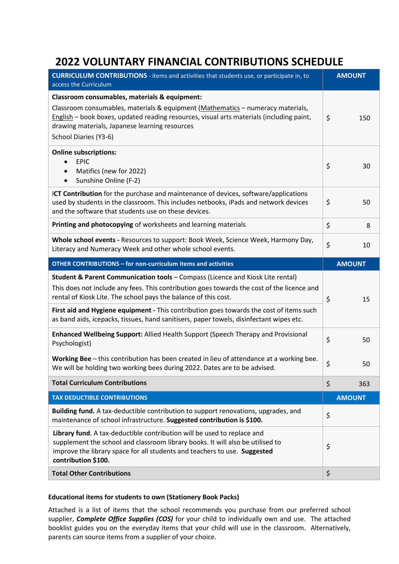# **2022 VOLUNTARY FINANCIAL CONTRIBUTIONS SCHEDULE**

| <b>CURRICULUM CONTRIBUTIONS</b> - items and activities that students use, or participate in, to<br>access the Curriculum                                                                                                                                                                                | <b>AMOUNT</b> |
|---------------------------------------------------------------------------------------------------------------------------------------------------------------------------------------------------------------------------------------------------------------------------------------------------------|---------------|
| Classroom consumables, materials & equipment:<br>Classroom consumables, materials & equipment (Mathematics - numeracy materials,<br>English - book boxes, updated reading resources, visual arts materials (including paint,<br>drawing materials, Japanese learning resources<br>School Diaries (Y3-6) | \$<br>150     |
| <b>Online subscriptions:</b><br><b>EPIC</b><br>Matifics (new for 2022)<br>$\bullet$<br>Sunshine Online (F-2)<br>$\bullet$                                                                                                                                                                               | \$<br>30      |
| ICT Contribution for the purchase and maintenance of devices, software/applications<br>used by students in the classroom. This includes netbooks, iPads and network devices<br>and the software that students use on these devices.                                                                     | \$<br>50      |
| Printing and photocopying of worksheets and learning materials                                                                                                                                                                                                                                          | \$<br>8       |
| Whole school events - Resources to support: Book Week, Science Week, Harmony Day,<br>Literacy and Numeracy Week and other whole school events.                                                                                                                                                          | \$<br>10      |
| <b>OTHER CONTRIBUTIONS - for non-curriculum items and activities</b>                                                                                                                                                                                                                                    | <b>AMOUNT</b> |
| Student & Parent Communication tools - Compass (Licence and Kiosk Lite rental)<br>This does not include any fees. This contribution goes towards the cost of the licence and<br>rental of Kiosk Lite. The school pays the balance of this cost.                                                         | \$<br>15      |
| First aid and Hygiene equipment - This contribution goes towards the cost of items such                                                                                                                                                                                                                 |               |
| as band aids, icepacks, tissues, hand sanitisers, paper towels, disinfectant wipes etc.                                                                                                                                                                                                                 |               |
| Enhanced Wellbeing Support: Allied Health Support (Speech Therapy and Provisional<br>Psychologist)                                                                                                                                                                                                      | \$<br>50      |
| Working Bee - this contribution has been created in lieu of attendance at a working bee.<br>We will be holding two working bees during 2022. Dates are to be advised.                                                                                                                                   | \$<br>50      |
| <b>Total Curriculum Contributions</b>                                                                                                                                                                                                                                                                   | \$<br>363     |
| <b>TAX DEDUCTIBLE CONTRIBUTIONS</b>                                                                                                                                                                                                                                                                     | <b>AMOUNT</b> |
| Building fund. A tax-deductible contribution to support renovations, upgrades, and<br>maintenance of school infrastructure. Suggested contribution is \$100.                                                                                                                                            | \$            |
| Library fund. A tax-deductible contribution will be used to replace and<br>supplement the school and classroom library books. It will also be utilised to<br>improve the library space for all students and teachers to use. Suggested<br>contribution \$100.                                           | \$            |

# **Educational items for students to own (Stationery Book Packs)**

Attached is a list of items that the school recommends you purchase from our preferred school supplier, *Complete Office Supplies (COS)* for your child to individually own and use. The attached booklist guides you on the everyday items that your child will use in the classroom. Alternatively, parents can source items from a supplier of your choice.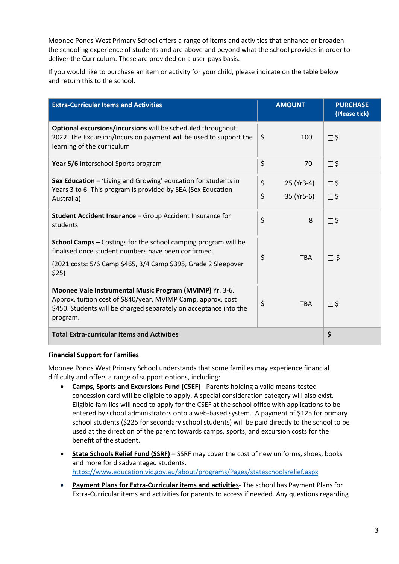Moonee Ponds West Primary School offers a range of items and activities that enhance or broaden the schooling experience of students and are above and beyond what the school provides in order to deliver the Curriculum. These are provided on a user-pays basis.

If you would like to purchase an item or activity for your child, please indicate on the table below and return this to the school.

| <b>Extra-Curricular Items and Activities</b>                                                                                                                                                             |          | <b>AMOUNT</b>            | <b>PURCHASE</b><br>(Please tick) |
|----------------------------------------------------------------------------------------------------------------------------------------------------------------------------------------------------------|----------|--------------------------|----------------------------------|
| Optional excursions/incursions will be scheduled throughout<br>2022. The Excursion/Incursion payment will be used to support the<br>learning of the curriculum                                           | \$       | 100                      | $\square$ \$                     |
| Year 5/6 Interschool Sports program                                                                                                                                                                      | \$       | 70                       | $\square$ \$                     |
| Sex Education - 'Living and Growing' education for students in<br>Years 3 to 6. This program is provided by SEA (Sex Education<br>Australia)                                                             | \$<br>\$ | 25 (Yr3-4)<br>35 (Yr5-6) | $\square$ \$<br>$\square$ \$     |
| <b>Student Accident Insurance - Group Accident Insurance for</b><br>students                                                                                                                             | \$       | 8                        | $\square$ \$                     |
| School Camps - Costings for the school camping program will be<br>finalised once student numbers have been confirmed.<br>(2021 costs: 5/6 Camp \$465, 3/4 Camp \$395, Grade 2 Sleepover<br>\$25)         | \$       | <b>TBA</b>               | $\square$                        |
| Moonee Vale Instrumental Music Program (MVIMP) Yr. 3-6.<br>Approx. tuition cost of \$840/year, MVIMP Camp, approx. cost<br>\$450. Students will be charged separately on acceptance into the<br>program. | \$       | <b>TBA</b>               | $\square$ \$                     |
| <b>Total Extra-curricular Items and Activities</b>                                                                                                                                                       | \$       |                          |                                  |

## **Financial Support for Families**

Moonee Ponds West Primary School understands that some families may experience financial difficulty and offers a range of support options, including:

- **Camps, Sports and Excursions Fund (CSEF)** Parents holding a valid means-tested concession card will be eligible to apply. A special consideration category will also exist. Eligible families will need to apply for the CSEF at the school office with applications to be entered by school administrators onto a web-based system. A payment of \$125 for primary school students (\$225 for secondary school students) will be paid directly to the school to be used at the direction of the parent towards camps, sports, and excursion costs for the benefit of the student.
- **State Schools Relief Fund (SSRF)** SSRF may cover the cost of new uniforms, shoes, books and more for disadvantaged students. <https://www.education.vic.gov.au/about/programs/Pages/stateschoolsrelief.aspx>
- **Payment Plans for Extra-Curricular items and activities** The school has Payment Plans for Extra-Curricular items and activities for parents to access if needed. Any questions regarding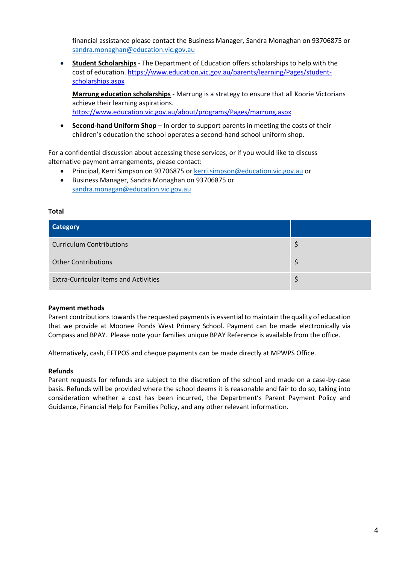financial assistance please contact the Business Manager, Sandra Monaghan on 93706875 or sandra.monaghan@education.vic.gov.au

• **Student Scholarships** - The Department of Education offers scholarships to help with the cost of education[. https://www.education.vic.gov.au/parents/learning/Pages/student](https://www.education.vic.gov.au/parents/learning/Pages/student-scholarships.aspx)[scholarships.aspx](https://www.education.vic.gov.au/parents/learning/Pages/student-scholarships.aspx) 

**Marrung education scholarships** - Marrung is a strategy to ensure that all Koorie Victorians achieve their learning aspirations. <https://www.education.vic.gov.au/about/programs/Pages/marrung.aspx>

• **Second-hand Uniform Shop** – In order to support parents in meeting the costs of their children's education the school operates a second-hand school uniform shop.

For a confidential discussion about accessing these services, or if you would like to discuss alternative payment arrangements, please contact:

- Principal, Kerri Simpson on 93706875 or kerri.simpson@education.vic.gov.au or
- Business Manager, Sandra Monaghan on 93706875 or [sandra.monagan@education.vic.gov.au](mailto:sandra.monagan@education.vic.gov.au)

### **Total**

| <b>Category</b>                              |  |
|----------------------------------------------|--|
| <b>Curriculum Contributions</b>              |  |
| <b>Other Contributions</b>                   |  |
| <b>Extra-Curricular Items and Activities</b> |  |

### **Payment methods**

Parent contributions towards the requested payments is essential to maintain the quality of education that we provide at Moonee Ponds West Primary School. Payment can be made electronically via Compass and BPAY. Please note your families unique BPAY Reference is available from the office.

Alternatively, cash, EFTPOS and cheque payments can be made directly at MPWPS Office.

### **Refunds**

Parent requests for refunds are subject to the discretion of the school and made on a case-by-case basis. Refunds will be provided where the school deems it is reasonable and fair to do so, taking into consideration whether a cost has been incurred, the Department's Parent Payment Policy and Guidance, Financial Help for Families Policy, and any other relevant information.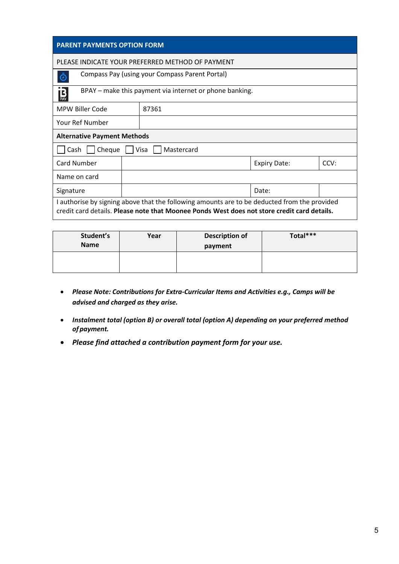| <b>PARENT PAYMENTS OPTION FORM</b>                                                                                                                                                          |  |       |                     |      |
|---------------------------------------------------------------------------------------------------------------------------------------------------------------------------------------------|--|-------|---------------------|------|
| PLEASE INDICATE YOUR PREFERRED METHOD OF PAYMENT                                                                                                                                            |  |       |                     |      |
| Compass Pay (using your Compass Parent Portal)<br>Ō                                                                                                                                         |  |       |                     |      |
| BPAY – make this payment via internet or phone banking.<br>$\mathbf{B}_{\mathsf{PAY}}$                                                                                                      |  |       |                     |      |
| <b>MPW Biller Code</b>                                                                                                                                                                      |  | 87361 |                     |      |
| <b>Your Ref Number</b>                                                                                                                                                                      |  |       |                     |      |
| <b>Alternative Payment Methods</b>                                                                                                                                                          |  |       |                     |      |
| Cash<br>Cheque<br>Visa<br>Mastercard                                                                                                                                                        |  |       |                     |      |
| <b>Card Number</b>                                                                                                                                                                          |  |       | <b>Expiry Date:</b> | CCV: |
| Name on card                                                                                                                                                                                |  |       |                     |      |
| Signature                                                                                                                                                                                   |  |       | Date:               |      |
| I authorise by signing above that the following amounts are to be deducted from the provided<br>credit card details. Please note that Moonee Ponds West does not store credit card details. |  |       |                     |      |

| Student's<br><b>Name</b> | Year | <b>Description of</b><br>payment | Total*** |
|--------------------------|------|----------------------------------|----------|
|                          |      |                                  |          |

- *Please Note: Contributions for Extra-Curricular Items and Activities e.g., Camps will be advised and charged as they arise.*
- *Instalment total (option B) or overall total (option A) depending on your preferred method of payment.*
- *Please find attached a contribution payment form for your use.*